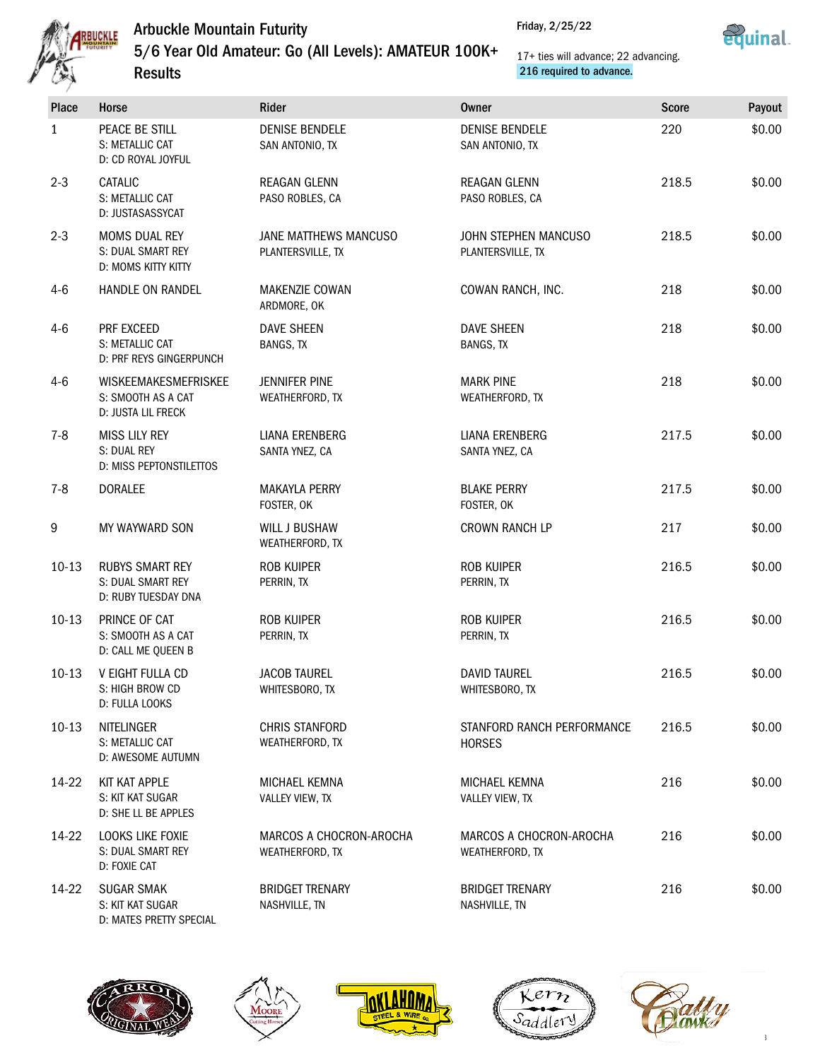

Friday, 2/25/22



# 5/6 Year Old Amateur: Go (All Levels): AMATEUR 100K+

**Results** 

#### 17+ ties will advance; 22 advancing. 216 required to advance.

| Place            | Horse                                                                   | Rider                                      | <b>Owner</b>                                | <b>Score</b> | Payout |
|------------------|-------------------------------------------------------------------------|--------------------------------------------|---------------------------------------------|--------------|--------|
| 1                | PEACE BE STILL<br>S: METALLIC CAT<br>D: CD ROYAL JOYFUL                 | <b>DENISE BENDELE</b><br>SAN ANTONIO, TX   | <b>DENISE BENDELE</b><br>SAN ANTONIO, TX    | 220          | \$0.00 |
| $2 - 3$          | CATALIC<br>S: METALLIC CAT<br>D: JUSTASASSYCAT                          | REAGAN GLENN<br>PASO ROBLES, CA            | REAGAN GLENN<br>PASO ROBLES, CA             | 218.5        | \$0.00 |
| $2 - 3$          | MOMS DUAL REY<br>S: DUAL SMART REY<br>D: MOMS KITTY KITTY               | JANE MATTHEWS MANCUSO<br>PLANTERSVILLE, TX | JOHN STEPHEN MANCUSO<br>PLANTERSVILLE, TX   | 218.5        | \$0.00 |
| $4-6$            | HANDLE ON RANDEL                                                        | <b>MAKENZIE COWAN</b><br>ARDMORE, OK       | COWAN RANCH, INC.                           | 218          | \$0.00 |
| $4-6$            | PRF EXCEED<br>S: METALLIC CAT<br>D: PRF REYS GINGERPUNCH                | <b>DAVE SHEEN</b><br>BANGS, TX             | <b>DAVE SHEEN</b><br>BANGS, TX              | 218          | \$0.00 |
| $4-6$            | <b>WISKEEMAKESMEFRISKEE</b><br>S: SMOOTH AS A CAT<br>D: JUSTA LIL FRECK | <b>JENNIFER PINE</b><br>WEATHERFORD, TX    | <b>MARK PINE</b><br>WEATHERFORD, TX         | 218          | \$0.00 |
| $7 - 8$          | <b>MISS LILY REY</b><br>S: DUAL REY<br>D: MISS PEPTONSTILETTOS          | <b>LIANA ERENBERG</b><br>SANTA YNEZ, CA    | <b>LIANA ERENBERG</b><br>SANTA YNEZ, CA     | 217.5        | \$0.00 |
| $7 - 8$          | <b>DORALEE</b>                                                          | <b>MAKAYLA PERRY</b><br>FOSTER, OK         | <b>BLAKE PERRY</b><br>FOSTER, OK            | 217.5        | \$0.00 |
| $\boldsymbol{9}$ | MY WAYWARD SON                                                          | <b>WILL J BUSHAW</b><br>WEATHERFORD, TX    | <b>CROWN RANCH LP</b>                       | 217          | \$0.00 |
| $10-13$          | <b>RUBYS SMART REY</b><br>S: DUAL SMART REY<br>D: RUBY TUESDAY DNA      | <b>ROB KUIPER</b><br>PERRIN, TX            | <b>ROB KUIPER</b><br>PERRIN, TX             | 216.5        | \$0.00 |
| $10-13$          | PRINCE OF CAT<br>S: SMOOTH AS A CAT<br>D: CALL ME QUEEN B               | <b>ROB KUIPER</b><br>PERRIN, TX            | ROB KUIPER<br>PERRIN, TX                    | 216.5        | \$0.00 |
| $10-13$          | V EIGHT FULLA CD<br>S: HIGH BROW CD<br>D: FULLA LOOKS                   | <b>JACOB TAUREL</b><br>WHITESBORO, TX      | <b>DAVID TAUREL</b><br>WHITESBORO, TX       | 216.5        | \$0.00 |
| $10-13$          | NITELINGER<br>S: METALLIC CAT<br>D: AWESOME AUTUMN                      | CHRIS STANFORD<br>WEATHERFORD, TX          | STANFORD RANCH PERFORMANCE<br><b>HORSES</b> | 216.5        | \$0.00 |
| 14-22            | <b>KIT KAT APPLE</b><br>S: KIT KAT SUGAR<br>D: SHE LL BE APPLES         | MICHAEL KEMNA<br>VALLEY VIEW, TX           | MICHAEL KEMNA<br>VALLEY VIEW, TX            | 216          | \$0.00 |
| 14-22            | LOOKS LIKE FOXIE<br>S: DUAL SMART REY<br>D: FOXIE CAT                   | MARCOS A CHOCRON-AROCHA<br>WEATHERFORD, TX | MARCOS A CHOCRON-AROCHA<br>WEATHERFORD, TX  | 216          | \$0.00 |
| 14-22            | <b>SUGAR SMAK</b><br>S: KIT KAT SUGAR<br>D: MATES PRETTY SPECIAL        | <b>BRIDGET TRENARY</b><br>NASHVILLE, TN    | <b>BRIDGET TRENARY</b><br>NASHVILLE, TN     | 216          | \$0.00 |









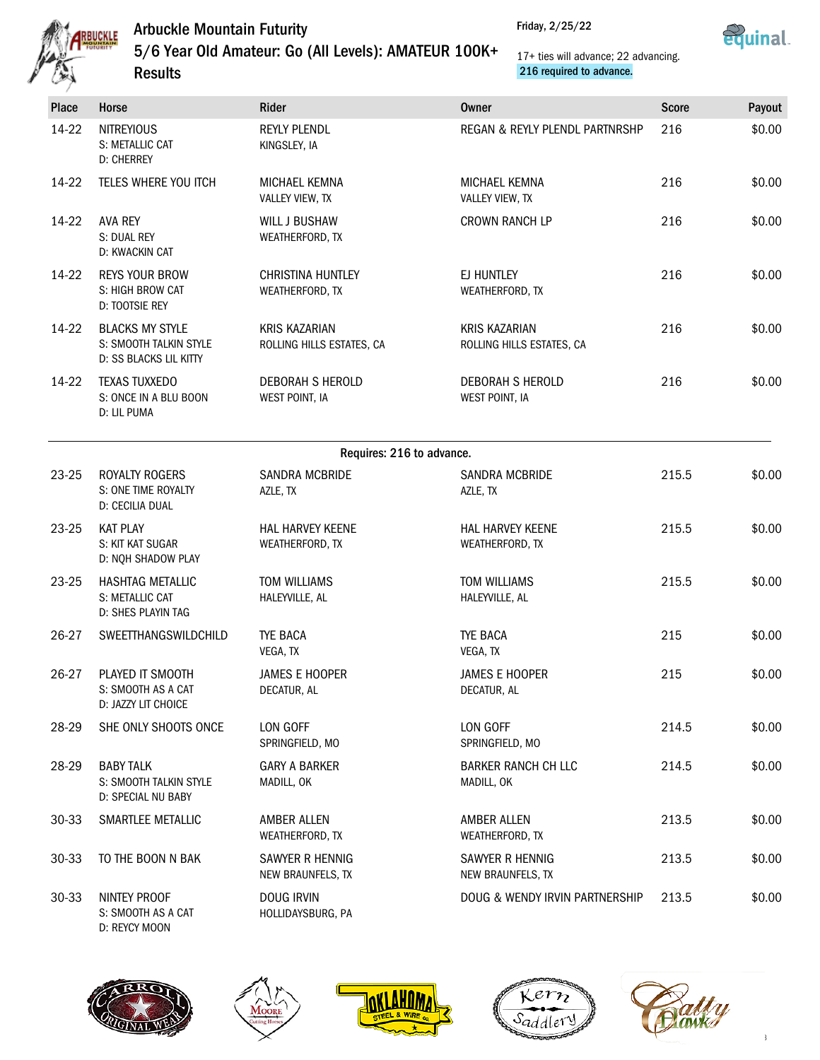

5/6 Year Old Amateur: Go (All Levels): AMATEUR 100K+ Results





17+ ties will advance; 22 advancing. 216 required to advance.

Friday, 2/25/22

| ومرسطتيها |                                                                            |                                                   |                                                   |              |        |  |
|-----------|----------------------------------------------------------------------------|---------------------------------------------------|---------------------------------------------------|--------------|--------|--|
| Place     | Horse                                                                      | Rider                                             | <b>Owner</b>                                      | <b>Score</b> | Payout |  |
| 14-22     | <b>NITREYIOUS</b><br>S: METALLIC CAT<br><b>D: CHERREY</b>                  | <b>REYLY PLENDL</b><br>KINGSLEY, IA               | REGAN & REYLY PLENDL PARTNRSHP                    | 216          | \$0.00 |  |
| 14-22     | TELES WHERE YOU ITCH                                                       | <b>MICHAEL KEMNA</b><br>VALLEY VIEW, TX           | <b>MICHAEL KEMNA</b><br>VALLEY VIEW, TX           | 216          | \$0.00 |  |
| 14-22     | <b>AVA REY</b><br>S: DUAL REY<br>D: KWACKIN CAT                            | <b>WILL J BUSHAW</b><br>WEATHERFORD, TX           | <b>CROWN RANCH LP</b>                             | 216          | \$0.00 |  |
| 14-22     | <b>REYS YOUR BROW</b><br>S: HIGH BROW CAT<br>D: TOOTSIE REY                | <b>CHRISTINA HUNTLEY</b><br>WEATHERFORD, TX       | EJ HUNTLEY<br>WEATHERFORD, TX                     | 216          | \$0.00 |  |
| 14-22     | <b>BLACKS MY STYLE</b><br>S: SMOOTH TALKIN STYLE<br>D: SS BLACKS LIL KITTY | <b>KRIS KAZARIAN</b><br>ROLLING HILLS ESTATES, CA | <b>KRIS KAZARIAN</b><br>ROLLING HILLS ESTATES, CA | 216          | \$0.00 |  |
| 14-22     | <b>TEXAS TUXXEDO</b><br>S: ONCE IN A BLU BOON<br>D: LIL PUMA               | DEBORAH S HEROLD<br>WEST POINT, IA                | DEBORAH S HEROLD<br>WEST POINT, IA                | 216          | \$0.00 |  |
|           |                                                                            | Requires: 216 to advance.                         |                                                   |              |        |  |
| 23-25     | <b>ROYALTY ROGERS</b><br>S: ONE TIME ROYALTY<br>D: CECILIA DUAL            | <b>SANDRA MCBRIDE</b><br>AZLE, TX                 | SANDRA MCBRIDE<br>AZLE, TX                        | 215.5        | \$0.00 |  |
| 23-25     | <b>KAT PLAY</b><br>S: KIT KAT SUGAR<br>D: NQH SHADOW PLAY                  | <b>HAL HARVEY KEENE</b><br>WEATHERFORD, TX        | HAL HARVEY KEENE<br>WEATHERFORD, TX               | 215.5        | \$0.00 |  |
| 23-25     | <b>HASHTAG METALLIC</b><br>S: METALLIC CAT<br>D: SHES PLAYIN TAG           | <b>TOM WILLIAMS</b><br>HALEYVILLE, AL             | <b>TOM WILLIAMS</b><br>HALEYVILLE, AL             | 215.5        | \$0.00 |  |
| 26-27     | SWEETTHANGSWILDCHILD                                                       | <b>TYE BACA</b><br>VEGA, TX                       | <b>TYE BACA</b><br>VEGA, TX                       | 215          | \$0.00 |  |
| 26-27     | PLAYED IT SMOOTH<br>S: SMOOTH AS A CAT<br>D: JAZZY LIT CHOICE              | JAMES E HOOPER<br>DECATUR, AL                     | JAMES E HOOPER<br>DECATUR, AL                     | 215          | \$0.00 |  |
| 28-29     | SHE ONLY SHOOTS ONCE                                                       | LON GOFF<br>SPRINGFIELD, MO                       | LON GOFF<br>SPRINGFIELD, MO                       | 214.5        | \$0.00 |  |
| 28-29     | <b>BABY TALK</b><br>S: SMOOTH TALKIN STYLE<br>D: SPECIAL NU BABY           | <b>GARY A BARKER</b><br>MADILL, OK                | <b>BARKER RANCH CH LLC</b><br>MADILL, OK          | 214.5        | \$0.00 |  |
| $30 - 33$ | SMARTLEE METALLIC                                                          | AMBER ALLEN<br>WEATHERFORD, TX                    | <b>AMBER ALLEN</b><br>WEATHERFORD, TX             | 213.5        | \$0.00 |  |
| $30 - 33$ | TO THE BOON N BAK                                                          | SAWYER R HENNIG<br>NEW BRAUNFELS, TX              | SAWYER R HENNIG<br>NEW BRAUNFELS, TX              | 213.5        | \$0.00 |  |
| 30-33     | NINTEY PROOF<br>S: SMOOTH AS A CAT<br>D: REYCY MOON                        | <b>DOUG IRVIN</b><br>HOLLIDAYSBURG, PA            | DOUG & WENDY IRVIN PARTNERSHIP                    | 213.5        | \$0.00 |  |









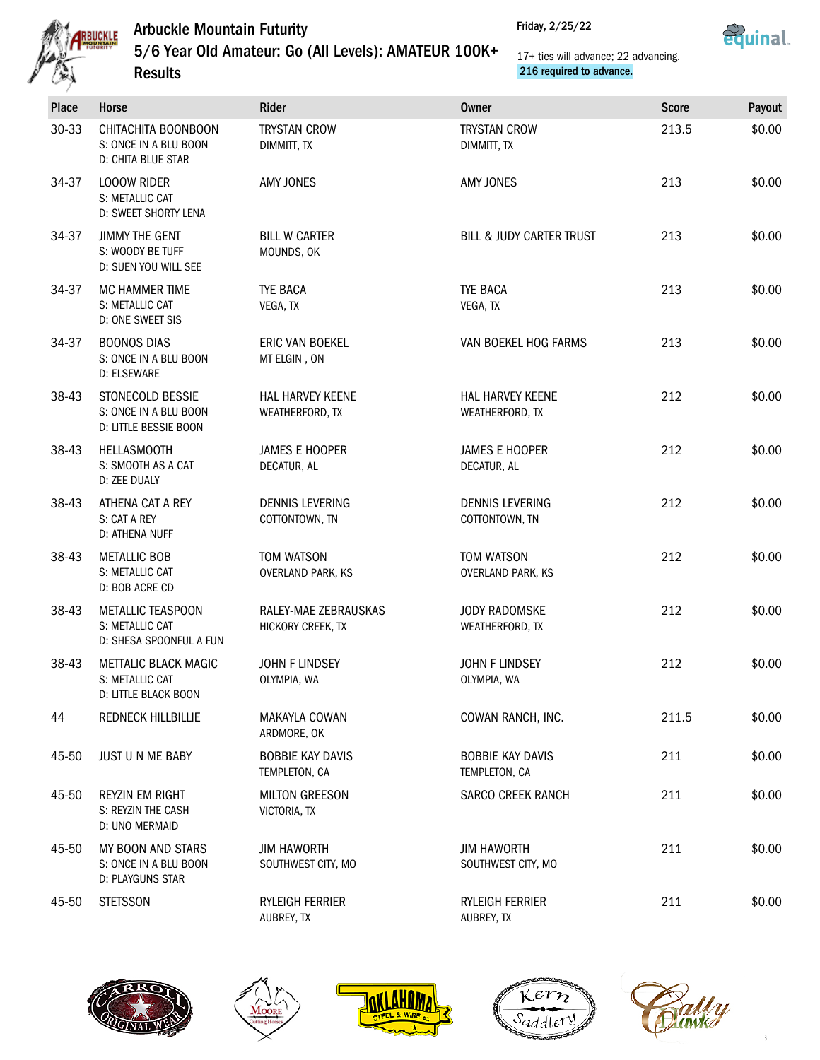

**Results** 

5/6 Year Old Amateur: Go (All Levels): AMATEUR 100K+



#### 17+ ties will advance; 22 advancing. 216 required to advance.

| Place | Horse                                                                     | Rider                                     | <b>Owner</b>                             | <b>Score</b> | Payout |
|-------|---------------------------------------------------------------------------|-------------------------------------------|------------------------------------------|--------------|--------|
| 30-33 | CHITACHITA BOONBOON<br>S: ONCE IN A BLU BOON<br><b>D: CHITA BLUE STAR</b> | <b>TRYSTAN CROW</b><br>DIMMITT, TX        | <b>TRYSTAN CROW</b><br>DIMMITT, TX       | 213.5        | \$0.00 |
| 34-37 | <b>LOOOW RIDER</b><br>S: METALLIC CAT<br>D: SWEET SHORTY LENA             | AMY JONES                                 | AMY JONES                                | 213          | \$0.00 |
| 34-37 | <b>JIMMY THE GENT</b><br>S: WOODY BE TUFF<br>D: SUEN YOU WILL SEE         | <b>BILL W CARTER</b><br>MOUNDS, OK        | <b>BILL &amp; JUDY CARTER TRUST</b>      | 213          | \$0.00 |
| 34-37 | <b>MC HAMMER TIME</b><br>S: METALLIC CAT<br><b>D: ONE SWEET SIS</b>       | <b>TYE BACA</b><br>VEGA, TX               | <b>TYE BACA</b><br>VEGA, TX              | 213          | \$0.00 |
| 34-37 | <b>BOONOS DIAS</b><br>S: ONCE IN A BLU BOON<br>D: ELSEWARE                | <b>ERIC VAN BOEKEL</b><br>MT ELGIN, ON    | VAN BOEKEL HOG FARMS                     | 213          | \$0.00 |
| 38-43 | STONECOLD BESSIE<br>S: ONCE IN A BLU BOON<br>D: LITTLE BESSIE BOON        | HAL HARVEY KEENE<br>WEATHERFORD, TX       | HAL HARVEY KEENE<br>WEATHERFORD, TX      | 212          | \$0.00 |
| 38-43 | <b>HELLASMOOTH</b><br>S: SMOOTH AS A CAT<br>D: ZEE DUALY                  | <b>JAMES E HOOPER</b><br>DECATUR, AL      | <b>JAMES E HOOPER</b><br>DECATUR, AL     | 212          | \$0.00 |
| 38-43 | ATHENA CAT A REY<br>S: CAT A REY<br>D: ATHENA NUFF                        | <b>DENNIS LEVERING</b><br>COTTONTOWN, TN  | <b>DENNIS LEVERING</b><br>COTTONTOWN, TN | 212          | \$0.00 |
| 38-43 | <b>METALLIC BOB</b><br>S: METALLIC CAT<br>D: BOB ACRE CD                  | TOM WATSON<br><b>OVERLAND PARK, KS</b>    | TOM WATSON<br>OVERLAND PARK, KS          | 212          | \$0.00 |
| 38-43 | <b>METALLIC TEASPOON</b><br>S: METALLIC CAT<br>D: SHESA SPOONFUL A FUN    | RALEY-MAE ZEBRAUSKAS<br>HICKORY CREEK, TX | <b>JODY RADOMSKE</b><br>WEATHERFORD, TX  | 212          | \$0.00 |
| 38-43 | <b>METTALIC BLACK MAGIC</b><br>S: METALLIC CAT<br>D: LITTLE BLACK BOON    | <b>JOHN F LINDSEY</b><br>OLYMPIA, WA      | <b>JOHN F LINDSEY</b><br>OLYMPIA, WA     | 212          | \$0.00 |
| 44    | <b>REDNECK HILLBILLIE</b>                                                 | MAKAYLA COWAN<br>ARDMORE, OK              | COWAN RANCH, INC.                        | 211.5        | \$0.00 |
| 45-50 | JUST U N ME BABY                                                          | <b>BOBBIE KAY DAVIS</b><br>TEMPLETON, CA  | <b>BOBBIE KAY DAVIS</b><br>TEMPLETON, CA | 211          | \$0.00 |
| 45-50 | <b>REYZIN EM RIGHT</b><br>S: REYZIN THE CASH<br>D: UNO MERMAID            | <b>MILTON GREESON</b><br>VICTORIA, TX     | <b>SARCO CREEK RANCH</b>                 | 211          | \$0.00 |
| 45-50 | MY BOON AND STARS<br>S: ONCE IN A BLU BOON<br>D: PLAYGUNS STAR            | <b>JIM HAWORTH</b><br>SOUTHWEST CITY, MO  | <b>JIM HAWORTH</b><br>SOUTHWEST CITY, MO | 211          | \$0.00 |
| 45-50 | <b>STETSSON</b>                                                           | RYLEIGH FERRIER<br>AUBREY, TX             | RYLEIGH FERRIER<br>AUBREY, TX            | 211          | \$0.00 |









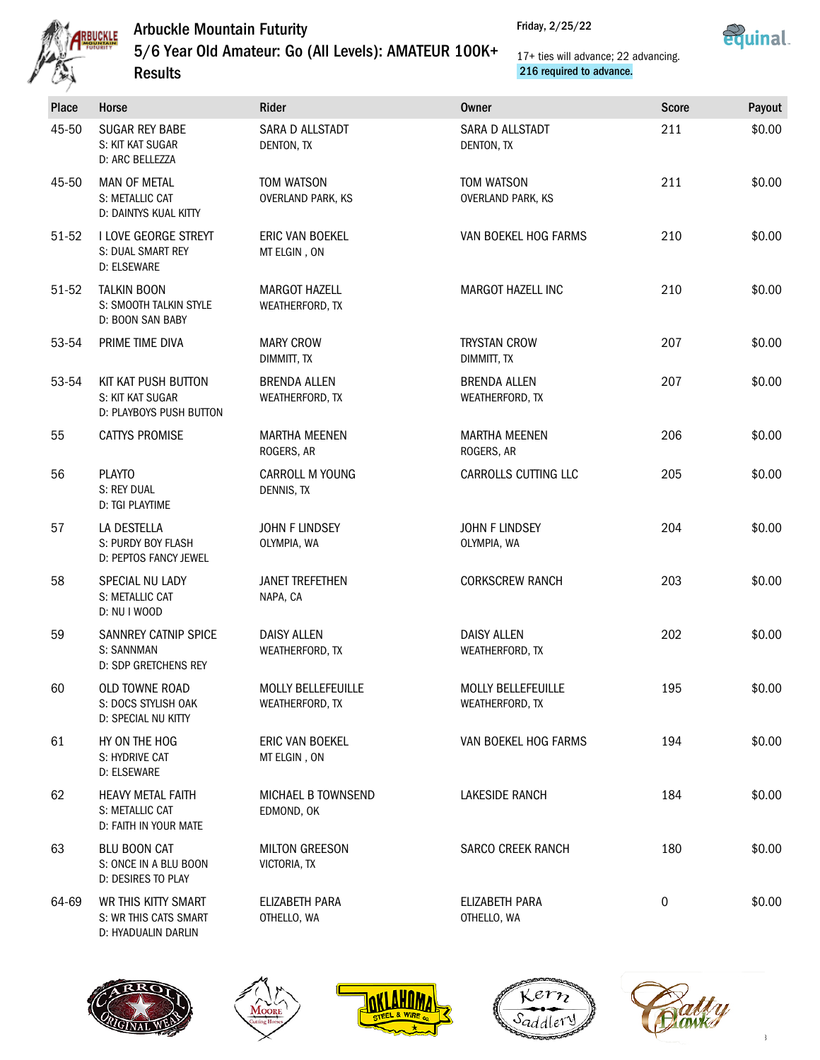

5/6 Year Old Amateur: Go (All Levels): AMATEUR 100K+



17+ ties will advance; 22 advancing. 216 required to advance.

|       | <b>Results</b>                                                       |                                              | 216 required to advance.                     |              |        |
|-------|----------------------------------------------------------------------|----------------------------------------------|----------------------------------------------|--------------|--------|
| Place | Horse                                                                | Rider                                        | <b>Owner</b>                                 | <b>Score</b> | Payout |
| 45-50 | <b>SUGAR REY BABE</b><br>S: KIT KAT SUGAR<br>D: ARC BELLEZZA         | SARA D ALLSTADT<br>DENTON, TX                | SARA D ALLSTADT<br>DENTON, TX                | 211          | \$0.00 |
| 45-50 | <b>MAN OF METAL</b><br>S: METALLIC CAT<br>D: DAINTYS KUAL KITTY      | TOM WATSON<br><b>OVERLAND PARK, KS</b>       | TOM WATSON<br><b>OVERLAND PARK, KS</b>       | 211          | \$0.00 |
| 51-52 | I LOVE GEORGE STREYT<br>S: DUAL SMART REY<br>D: ELSEWARE             | ERIC VAN BOEKEL<br>MT ELGIN, ON              | VAN BOEKEL HOG FARMS                         | 210          | \$0.00 |
| 51-52 | <b>TALKIN BOON</b><br>S: SMOOTH TALKIN STYLE<br>D: BOON SAN BABY     | <b>MARGOT HAZELL</b><br>WEATHERFORD, TX      | <b>MARGOT HAZELL INC</b>                     | 210          | \$0.00 |
| 53-54 | PRIME TIME DIVA                                                      | <b>MARY CROW</b><br>DIMMITT, TX              | <b>TRYSTAN CROW</b><br>DIMMITT, TX           | 207          | \$0.00 |
| 53-54 | KIT KAT PUSH BUTTON<br>S: KIT KAT SUGAR<br>D: PLAYBOYS PUSH BUTTON   | <b>BRENDA ALLEN</b><br>WEATHERFORD, TX       | <b>BRENDA ALLEN</b><br>WEATHERFORD, TX       | 207          | \$0.00 |
| 55    | <b>CATTYS PROMISE</b>                                                | <b>MARTHA MEENEN</b><br>ROGERS, AR           | <b>MARTHA MEENEN</b><br>ROGERS, AR           | 206          | \$0.00 |
| 56    | <b>PLAYTO</b><br>S: REY DUAL<br>D: TGI PLAYTIME                      | <b>CARROLL M YOUNG</b><br>DENNIS, TX         | CARROLLS CUTTING LLC                         | 205          | \$0.00 |
| 57    | LA DESTELLA<br>S: PURDY BOY FLASH<br>D: PEPTOS FANCY JEWEL           | JOHN F LINDSEY<br>OLYMPIA, WA                | JOHN F LINDSEY<br>OLYMPIA, WA                | 204          | \$0.00 |
| 58    | SPECIAL NU LADY<br>S: METALLIC CAT<br>D: NU I WOOD                   | <b>JANET TREFETHEN</b><br>NAPA, CA           | <b>CORKSCREW RANCH</b>                       | 203          | \$0.00 |
| 59    | SANNREY CATNIP SPICE<br>S: SANNMAN<br>D: SDP GRETCHENS REY           | <b>DAISY ALLEN</b><br>WEATHERFORD, TX        | <b>DAISY ALLEN</b><br>WEATHERFORD, TX        | 202          | \$0.00 |
| 60    | OLD TOWNE ROAD<br>S: DOCS STYLISH OAK<br>D: SPECIAL NU KITTY         | <b>MOLLY BELLEFEUILLE</b><br>WEATHERFORD, TX | <b>MOLLY BELLEFEUILLE</b><br>WEATHERFORD, TX | 195          | \$0.00 |
| 61    | HY ON THE HOG<br>S: HYDRIVE CAT<br>D: ELSEWARE                       | ERIC VAN BOEKEL<br>MT ELGIN, ON              | VAN BOEKEL HOG FARMS                         | 194          | \$0.00 |
| 62    | <b>HEAVY METAL FAITH</b><br>S: METALLIC CAT<br>D: FAITH IN YOUR MATE | <b>MICHAEL B TOWNSEND</b><br>EDMOND, OK      | <b>LAKESIDE RANCH</b>                        | 184          | \$0.00 |
| 63    | <b>BLU BOON CAT</b><br>S: ONCE IN A BLU BOON<br>D: DESIRES TO PLAY   | <b>MILTON GREESON</b><br>VICTORIA, TX        | <b>SARCO CREEK RANCH</b>                     | 180          | \$0.00 |
| 64-69 | WR THIS KITTY SMART<br>S: WR THIS CATS SMART<br>D: HYADUALIN DARLIN  | ELIZABETH PARA<br>OTHELLO, WA                | ELIZABETH PARA<br>OTHELLO, WA                | $\mathbf 0$  | \$0.00 |









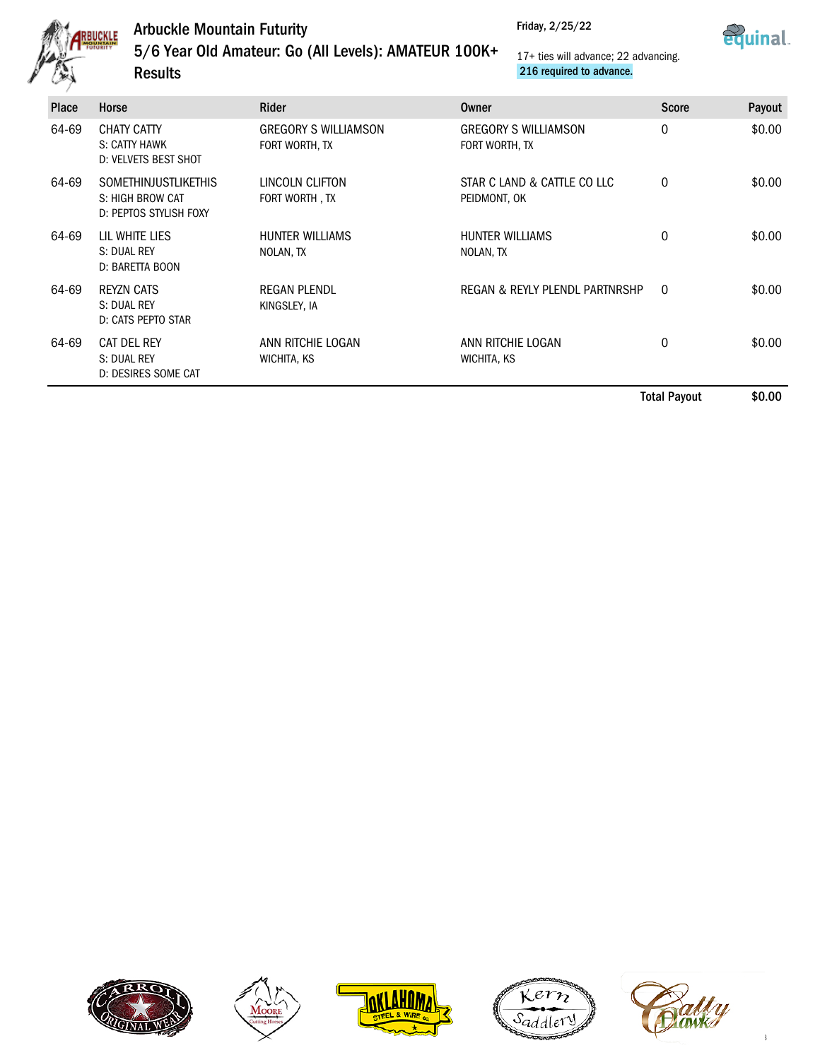

**Results** 

Friday, 2/25/22



5/6 Year Old Amateur: Go (All Levels): AMATEUR 100K+ 17+ ties will advance; 22 advancing. 216 required to advance.

| <b>Place</b> | Horse                                                                     | Rider                                         | Owner                                         | <b>Score</b> | Payout |
|--------------|---------------------------------------------------------------------------|-----------------------------------------------|-----------------------------------------------|--------------|--------|
| 64-69        | <b>CHATY CATTY</b><br>S: CATTY HAWK<br>D: VELVETS BEST SHOT               | <b>GREGORY S WILLIAMSON</b><br>FORT WORTH, TX | <b>GREGORY S WILLIAMSON</b><br>FORT WORTH, TX | $\mathbf 0$  | \$0.00 |
| 64-69        | <b>SOMETHINJUSTLIKETHIS</b><br>S: HIGH BROW CAT<br>D: PEPTOS STYLISH FOXY | LINCOLN CLIFTON<br>FORT WORTH, TX             | STAR C LAND & CATTLE CO LLC<br>PEIDMONT, OK   | $\mathbf 0$  | \$0.00 |
| 64-69        | LIL WHITE LIES<br>S: DUAL REY<br>D: BARETTA BOON                          | <b>HUNTER WILLIAMS</b><br>NOLAN, TX           | <b>HUNTER WILLIAMS</b><br>NOLAN, TX           | 0            | \$0.00 |
| 64-69        | <b>REYZN CATS</b><br>S: DUAL REY<br>D: CATS PEPTO STAR                    | <b>REGAN PLENDL</b><br>KINGSLEY, IA           | REGAN & REYLY PLENDL PARTNRSHP                | $\Omega$     | \$0.00 |
| 64-69        | CAT DEL REY<br>S: DUAL REY<br>D: DESIRES SOME CAT                         | ANN RITCHIE LOGAN<br>WICHITA, KS              | ANN RITCHIE LOGAN<br>WICHITA, KS              | 0            | \$0.00 |

Total Payout \$0.00









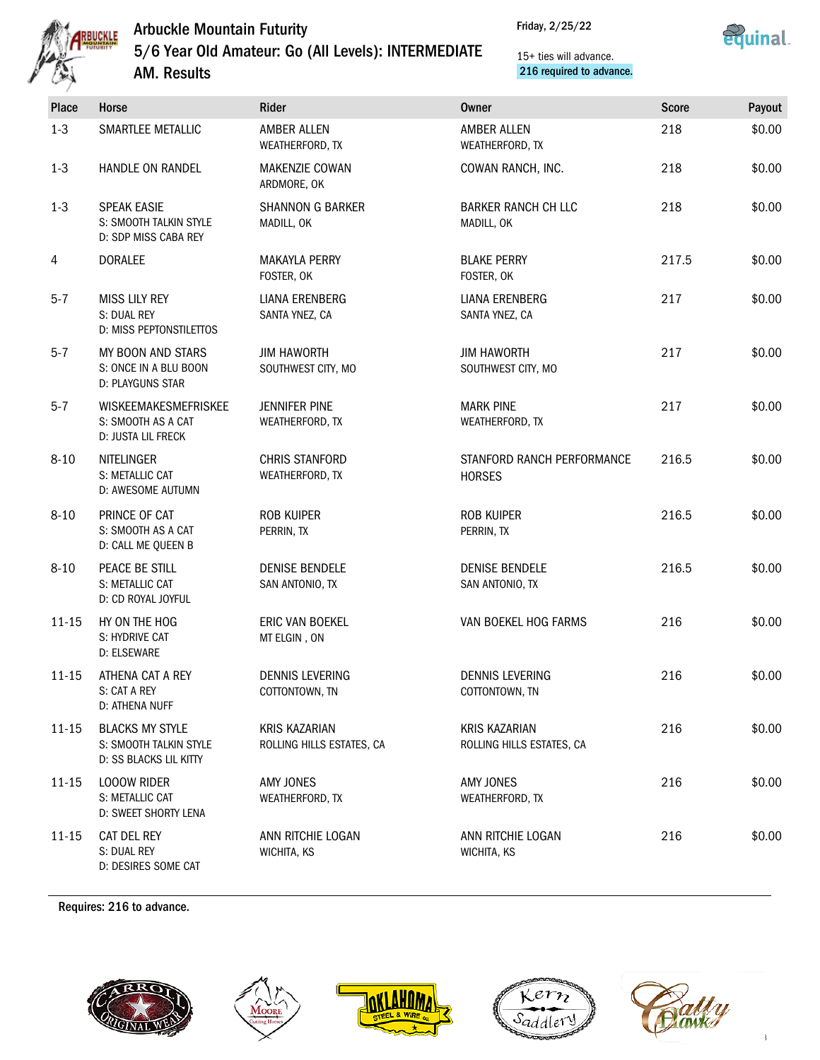

### Arbuckle Mountain Futurity 5/6 Year Old Amateur: Go (All Levels): INTERMEDIATE AM. Results

Friday, 2/25/22



15+ ties will advance. 216 required to advance.

|          | Horse<br><b>Place</b>                                                                          | Rider                                             | <b>Owner</b>                                      | <b>Score</b> | Payout |
|----------|------------------------------------------------------------------------------------------------|---------------------------------------------------|---------------------------------------------------|--------------|--------|
| $1 - 3$  | SMARTLEE METALLIC                                                                              | AMBER ALLEN<br>WEATHERFORD, TX                    | AMBER ALLEN<br>WEATHERFORD, TX                    | 218          | \$0.00 |
| $1-3$    | HANDLE ON RANDEL                                                                               | <b>MAKENZIE COWAN</b><br>ARDMORE, OK              | COWAN RANCH, INC.                                 | 218          | \$0.00 |
| $1-3$    | <b>SPEAK EASIE</b><br>S: SMOOTH TALKIN STYLE<br>D: SDP MISS CABA REY                           | <b>SHANNON G BARKER</b><br>MADILL, OK             | <b>BARKER RANCH CH LLC</b><br>MADILL, OK          | 218          | \$0.00 |
| 4        | <b>DORALEE</b>                                                                                 | <b>MAKAYLA PERRY</b><br>FOSTER, OK                | <b>BLAKE PERRY</b><br>FOSTER, OK                  | 217.5        | \$0.00 |
| $5 - 7$  | <b>MISS LILY REY</b><br>S: DUAL REY<br>D: MISS PEPTONSTILETTOS                                 | LIANA ERENBERG<br>SANTA YNEZ, CA                  | LIANA ERENBERG<br>SANTA YNEZ, CA                  | 217          | \$0.00 |
| $5 - 7$  | MY BOON AND STARS<br>S: ONCE IN A BLU BOON<br>D: PLAYGUNS STAR                                 | <b>JIM HAWORTH</b><br>SOUTHWEST CITY, MO          | <b>JIM HAWORTH</b><br>SOUTHWEST CITY, MO          | 217          | \$0.00 |
| $5 - 7$  | WISKEEMAKESMEFRISKEE<br>S: SMOOTH AS A CAT<br><b>D: JUSTA LIL FRECK</b>                        | <b>JENNIFER PINE</b><br>WEATHERFORD, TX           | <b>MARK PINE</b><br>WEATHERFORD, TX               | 217          | \$0.00 |
| $8 - 10$ | <b>NITELINGER</b><br>S: METALLIC CAT<br>D: AWESOME AUTUMN                                      | CHRIS STANFORD<br>WEATHERFORD, TX                 | STANFORD RANCH PERFORMANCE<br><b>HORSES</b>       | 216.5        | \$0.00 |
| $8 - 10$ | PRINCE OF CAT<br>S: SMOOTH AS A CAT<br>D: CALL ME QUEEN B                                      | ROB KUIPER<br>PERRIN, TX                          | ROB KUIPER<br>PERRIN, TX                          | 216.5        | \$0.00 |
| $8 - 10$ | PEACE BE STILL<br>S: METALLIC CAT<br>D: CD ROYAL JOYFUL                                        | <b>DENISE BENDELE</b><br>SAN ANTONIO, TX          | <b>DENISE BENDELE</b><br>SAN ANTONIO, TX          | 216.5        | \$0.00 |
|          | $11 - 15$<br>HY ON THE HOG<br>S: HYDRIVE CAT<br>D: ELSEWARE                                    | ERIC VAN BOEKEL<br>MT ELGIN, ON                   | VAN BOEKEL HOG FARMS                              | 216          | \$0.00 |
|          | ATHENA CAT A REY<br>11-15<br>S: CAT A REY<br>D: ATHENA NUFF                                    | <b>DENNIS LEVERING</b><br>COTTONTOWN, TN          | <b>DENNIS LEVERING</b><br>COTTONTOWN, TN          | 216          | \$0.00 |
|          | $11 - 15$<br><b>BLACKS MY STYLE</b><br>S: SMOOTH TALKIN STYLE<br><b>D: SS BLACKS LIL KITTY</b> | <b>KRIS KAZARIAN</b><br>ROLLING HILLS ESTATES, CA | <b>KRIS KAZARIAN</b><br>ROLLING HILLS ESTATES, CA | 216          | \$0.00 |
|          | $11 - 15$<br><b>LOOOW RIDER</b><br>S: METALLIC CAT<br>D: SWEET SHORTY LENA                     | AMY JONES<br>WEATHERFORD, TX                      | AMY JONES<br>WEATHERFORD, TX                      | 216          | \$0.00 |
|          | $11 - 15$<br>CAT DEL REY<br>S: DUAL REY<br>D: DESIRES SOME CAT                                 | ANN RITCHIE LOGAN<br>WICHITA, KS                  | ANN RITCHIE LOGAN<br>WICHITA, KS                  | 216          | \$0.00 |

Requires: 216 to advance.









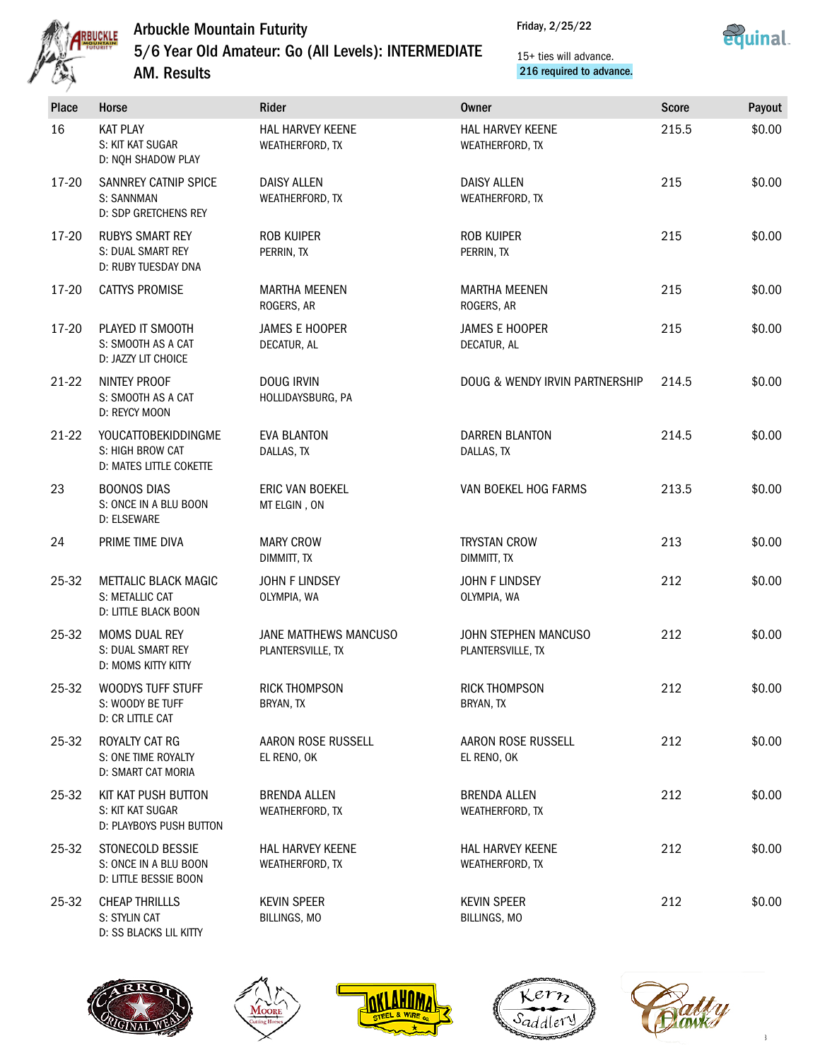

Friday, 2/25/22



5/6 Year Old Amateur: Go (All Levels): INTERMEDIATE

AM. Results

15+ ties will advance. 216 required to advance.

| <b>Place</b> | Horse                                                                     | Rider                                      | <b>Owner</b>                              | <b>Score</b> | Payout |
|--------------|---------------------------------------------------------------------------|--------------------------------------------|-------------------------------------------|--------------|--------|
| 16           | <b>KAT PLAY</b><br>S: KIT KAT SUGAR<br>D: NQH SHADOW PLAY                 | HAL HARVEY KEENE<br>WEATHERFORD, TX        | HAL HARVEY KEENE<br>WEATHERFORD, TX       | 215.5        | \$0.00 |
| 17-20        | SANNREY CATNIP SPICE<br>S: SANNMAN<br>D: SDP GRETCHENS REY                | <b>DAISY ALLEN</b><br>WEATHERFORD, TX      | <b>DAISY ALLEN</b><br>WEATHERFORD, TX     | 215          | \$0.00 |
| 17-20        | <b>RUBYS SMART REY</b><br>S: DUAL SMART REY<br>D: RUBY TUESDAY DNA        | <b>ROB KUIPER</b><br>PERRIN, TX            | <b>ROB KUIPER</b><br>PERRIN, TX           | 215          | \$0.00 |
| 17-20        | <b>CATTYS PROMISE</b>                                                     | <b>MARTHA MEENEN</b><br>ROGERS, AR         | <b>MARTHA MEENEN</b><br>ROGERS, AR        | 215          | \$0.00 |
| 17-20        | PLAYED IT SMOOTH<br>S: SMOOTH AS A CAT<br>D: JAZZY LIT CHOICE             | <b>JAMES E HOOPER</b><br>DECATUR, AL       | <b>JAMES E HOOPER</b><br>DECATUR, AL      | 215          | \$0.00 |
| $21-22$      | NINTEY PROOF<br>S: SMOOTH AS A CAT<br>D: REYCY MOON                       | <b>DOUG IRVIN</b><br>HOLLIDAYSBURG, PA     | DOUG & WENDY IRVIN PARTNERSHIP            | 214.5        | \$0.00 |
| $21-22$      | <b>YOUCATTOBEKIDDINGME</b><br>S: HIGH BROW CAT<br>D: MATES LITTLE COKETTE | <b>EVA BLANTON</b><br>DALLAS, TX           | <b>DARREN BLANTON</b><br>DALLAS, TX       | 214.5        | \$0.00 |
| 23           | <b>BOONOS DIAS</b><br>S: ONCE IN A BLU BOON<br>D: ELSEWARE                | ERIC VAN BOEKEL<br>MT ELGIN, ON            | VAN BOEKEL HOG FARMS                      | 213.5        | \$0.00 |
| 24           | PRIME TIME DIVA                                                           | <b>MARY CROW</b><br>DIMMITT, TX            | <b>TRYSTAN CROW</b><br>DIMMITT, TX        | 213          | \$0.00 |
| 25-32        | <b>METTALIC BLACK MAGIC</b><br>S: METALLIC CAT<br>D: LITTLE BLACK BOON    | JOHN F LINDSEY<br>OLYMPIA, WA              | JOHN F LINDSEY<br>OLYMPIA, WA             | 212          | \$0.00 |
| 25-32        | <b>MOMS DUAL REY</b><br>S: DUAL SMART REY<br>D: MOMS KITTY KITTY          | JANE MATTHEWS MANCUSO<br>PLANTERSVILLE, TX | JOHN STEPHEN MANCUSO<br>PLANTERSVILLE, TX | 212          | \$0.00 |
| 25-32        | WOODYS TUFF STUFF<br>S: WOODY BE TUFF<br>D: CR LITTLE CAT                 | <b>RICK THOMPSON</b><br>BRYAN, TX          | <b>RICK THOMPSON</b><br>BRYAN, TX         | 212          | \$0.00 |
| 25-32        | ROYALTY CAT RG<br>S: ONE TIME ROYALTY<br>D: SMART CAT MORIA               | AARON ROSE RUSSELL<br>EL RENO, OK          | AARON ROSE RUSSELL<br>EL RENO, OK         | 212          | \$0.00 |
| 25-32        | KIT KAT PUSH BUTTON<br>S: KIT KAT SUGAR<br>D: PLAYBOYS PUSH BUTTON        | <b>BRENDA ALLEN</b><br>WEATHERFORD, TX     | <b>BRENDA ALLEN</b><br>WEATHERFORD, TX    | 212          | \$0.00 |
| 25-32        | STONECOLD BESSIE<br>S: ONCE IN A BLU BOON<br>D: LITTLE BESSIE BOON        | HAL HARVEY KEENE<br>WEATHERFORD, TX        | HAL HARVEY KEENE<br>WEATHERFORD, TX       | 212          | \$0.00 |
| 25-32        | <b>CHEAP THRILLLS</b><br>S: STYLIN CAT                                    | <b>KEVIN SPEER</b><br>BILLINGS, MO         | <b>KEVIN SPEER</b><br>BILLINGS, MO        | 212          | \$0.00 |



D: SS BLACKS LIL KITTY







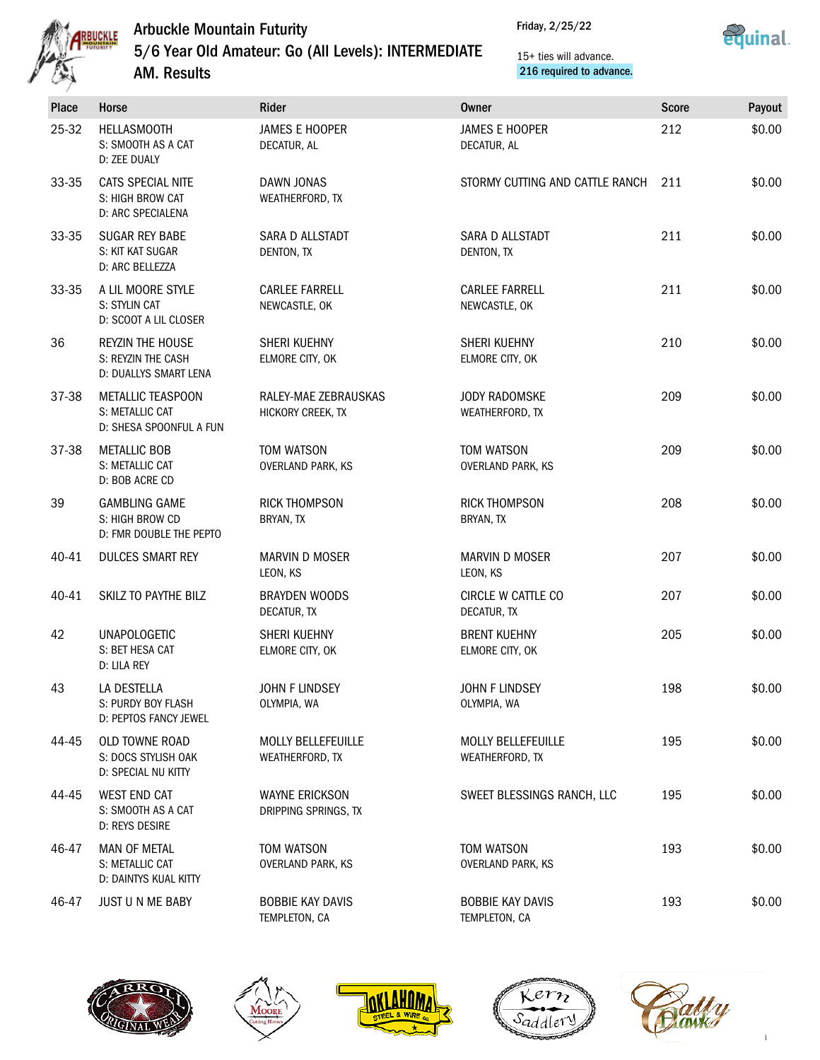

### Arbuckle Mountain Futurity 5/6 Year Old Amateur: Go (All Levels): INTERMEDIATE

Friday, 2/25/22



15+ ties will advance. 216 required to advance.

| 笈     | <b>AM. Results</b>                                                     | 216 required to advance.                      |                                              |              |        |  |
|-------|------------------------------------------------------------------------|-----------------------------------------------|----------------------------------------------|--------------|--------|--|
| Place | Horse                                                                  | Rider                                         | <b>Owner</b>                                 | <b>Score</b> | Payout |  |
| 25-32 | <b>HELLASMOOTH</b><br>S: SMOOTH AS A CAT<br>D: ZEE DUALY               | <b>JAMES E HOOPER</b><br>DECATUR, AL          | <b>JAMES E HOOPER</b><br>DECATUR, AL         | 212          | \$0.00 |  |
| 33-35 | CATS SPECIAL NITE<br>S: HIGH BROW CAT<br>D: ARC SPECIALENA             | DAWN JONAS<br>WEATHERFORD, TX                 | STORMY CUTTING AND CATTLE RANCH              | 211          | \$0.00 |  |
| 33-35 | <b>SUGAR REY BABE</b><br>S: KIT KAT SUGAR<br>D: ARC BELLEZZA           | SARA D ALLSTADT<br>DENTON, TX                 | SARA D ALLSTADT<br>DENTON, TX                | 211          | \$0.00 |  |
| 33-35 | A LIL MOORE STYLE<br>S: STYLIN CAT<br>D: SCOOT A LIL CLOSER            | <b>CARLEE FARRELL</b><br>NEWCASTLE, OK        | <b>CARLEE FARRELL</b><br>NEWCASTLE, OK       | 211          | \$0.00 |  |
| 36    | <b>REYZIN THE HOUSE</b><br>S: REYZIN THE CASH<br>D: DUALLYS SMART LENA | SHERI KUEHNY<br>ELMORE CITY, OK               | SHERI KUEHNY<br>ELMORE CITY, OK              | 210          | \$0.00 |  |
| 37-38 | METALLIC TEASPOON<br>S: METALLIC CAT<br>D: SHESA SPOONFUL A FUN        | RALEY-MAE ZEBRAUSKAS<br>HICKORY CREEK, TX     | <b>JODY RADOMSKE</b><br>WEATHERFORD, TX      | 209          | \$0.00 |  |
| 37-38 | <b>METALLIC BOB</b><br>S: METALLIC CAT<br>D: BOB ACRE CD               | TOM WATSON<br><b>OVERLAND PARK, KS</b>        | TOM WATSON<br><b>OVERLAND PARK, KS</b>       | 209          | \$0.00 |  |
| 39    | <b>GAMBLING GAME</b><br>S: HIGH BROW CD<br>D: FMR DOUBLE THE PEPTO     | <b>RICK THOMPSON</b><br>BRYAN, TX             | <b>RICK THOMPSON</b><br>BRYAN, TX            | 208          | \$0.00 |  |
| 40-41 | <b>DULCES SMART REY</b>                                                | <b>MARVIN D MOSER</b><br>LEON, KS             | <b>MARVIN D MOSER</b><br>LEON, KS            | 207          | \$0.00 |  |
| 40-41 | SKILZ TO PAYTHE BILZ                                                   | <b>BRAYDEN WOODS</b><br>DECATUR, TX           | CIRCLE W CATTLE CO<br>DECATUR, TX            | 207          | \$0.00 |  |
| 42    | <b>UNAPOLOGETIC</b><br>S: BET HESA CAT<br>D: LILA REY                  | SHERI KUEHNY<br>ELMORE CITY, OK               | <b>BRENT KUEHNY</b><br>ELMORE CITY, OK       | 205          | \$0.00 |  |
| 43    | LA DESTELLA<br>S: PURDY BOY FLASH<br>D: PEPTOS FANCY JEWEL             | JOHN F LINDSEY<br>OLYMPIA, WA                 | <b>JOHN F LINDSEY</b><br>OLYMPIA, WA         | 198          | \$0.00 |  |
| 44-45 | OLD TOWNE ROAD<br>S: DOCS STYLISH OAK<br>D: SPECIAL NU KITTY           | <b>MOLLY BELLEFEUILLE</b><br>WEATHERFORD, TX  | <b>MOLLY BELLEFEUILLE</b><br>WEATHERFORD, TX | 195          | \$0.00 |  |
| 44-45 | <b>WEST END CAT</b><br>S: SMOOTH AS A CAT<br>D: REYS DESIRE            | <b>WAYNE ERICKSON</b><br>DRIPPING SPRINGS, TX | SWEET BLESSINGS RANCH, LLC                   | 195          | \$0.00 |  |
| 46-47 | MAN OF METAL<br>S: METALLIC CAT<br>D: DAINTYS KUAL KITTY               | TOM WATSON<br>OVERLAND PARK, KS               | TOM WATSON<br>OVERLAND PARK, KS              | 193          | \$0.00 |  |
| 46-47 | JUST U N ME BABY                                                       | <b>BOBBIE KAY DAVIS</b><br>TEMPLETON, CA      | <b>BOBBIE KAY DAVIS</b><br>TEMPLETON, CA     | 193          | \$0.00 |  |









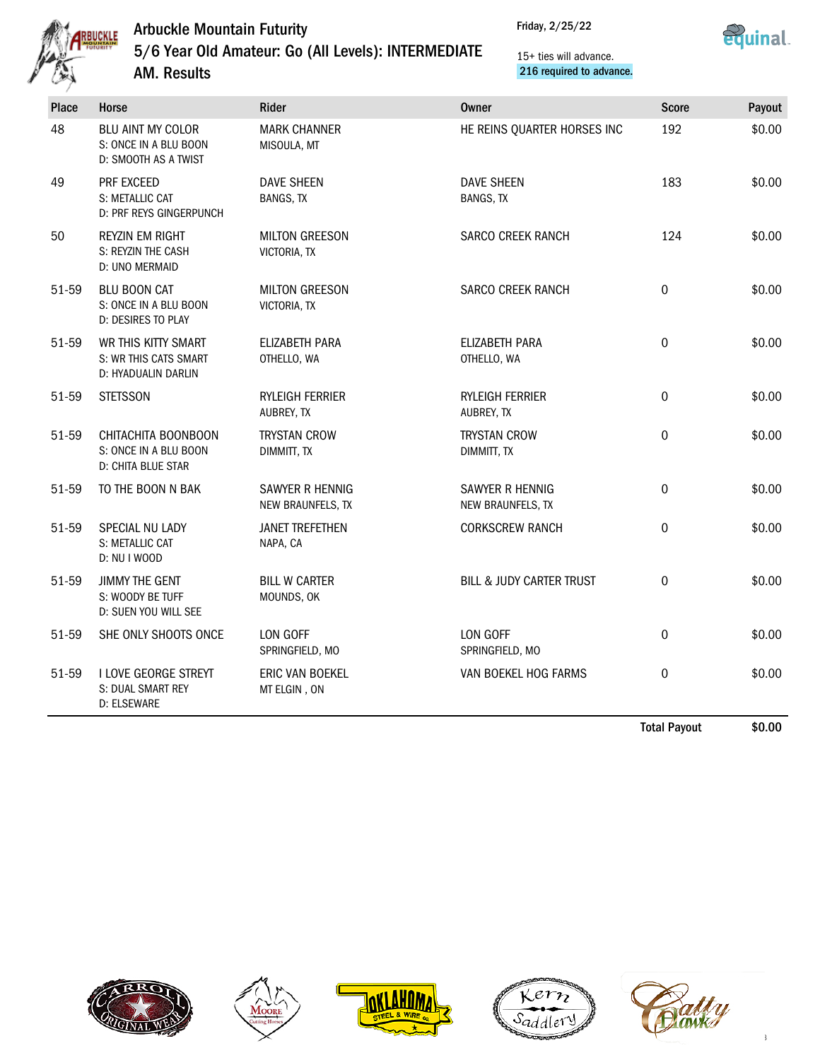

Friday, 2/25/22



5/6 Year Old Amateur: Go (All Levels): INTERMEDIATE

AM. Results

15+ ties will advance. 216 required to advance.

| Place | <b>Horse</b>                                                        | Rider                                 | <b>Owner</b>                          | <b>Score</b> | Payout |
|-------|---------------------------------------------------------------------|---------------------------------------|---------------------------------------|--------------|--------|
| 48    | BLU AINT MY COLOR<br>S: ONCE IN A BLU BOON<br>D: SMOOTH AS A TWIST  | <b>MARK CHANNER</b><br>MISOULA, MT    | HE REINS QUARTER HORSES INC           | 192          | \$0.00 |
| 49    | PRF EXCEED<br>S: METALLIC CAT<br>D: PRF REYS GINGERPUNCH            | <b>DAVE SHEEN</b><br><b>BANGS, TX</b> | <b>DAVE SHEEN</b><br><b>BANGS, TX</b> | 183          | \$0.00 |
| 50    | <b>REYZIN EM RIGHT</b><br>S: REYZIN THE CASH<br>D: UNO MERMAID      | <b>MILTON GREESON</b><br>VICTORIA, TX | <b>SARCO CREEK RANCH</b>              | 124          | \$0.00 |
| 51-59 | <b>BLU BOON CAT</b><br>S: ONCE IN A BLU BOON<br>D: DESIRES TO PLAY  | <b>MILTON GREESON</b><br>VICTORIA, TX | <b>SARCO CREEK RANCH</b>              | 0            | \$0.00 |
| 51-59 | WR THIS KITTY SMART<br>S: WR THIS CATS SMART<br>D: HYADUALIN DARLIN | ELIZABETH PARA<br>OTHELLO, WA         | ELIZABETH PARA<br>OTHELLO, WA         | 0            | \$0.00 |
| 51-59 | <b>STETSSON</b>                                                     | <b>RYLEIGH FERRIER</b><br>AUBREY, TX  | <b>RYLEIGH FERRIER</b><br>AUBREY, TX  | 0            | \$0.00 |
| 51-59 | CHITACHITA BOONBOON<br>S: ONCE IN A BLU BOON<br>D: CHITA BLUE STAR  | <b>TRYSTAN CROW</b><br>DIMMITT, TX    | <b>TRYSTAN CROW</b><br>DIMMITT, TX    | 0            | \$0.00 |
| 51-59 | TO THE BOON N BAK                                                   | SAWYER R HENNIG<br>NEW BRAUNFELS, TX  | SAWYER R HENNIG<br>NEW BRAUNFELS, TX  | 0            | \$0.00 |
| 51-59 | SPECIAL NU LADY<br>S: METALLIC CAT<br>D: NU I WOOD                  | <b>JANET TREFETHEN</b><br>NAPA, CA    | <b>CORKSCREW RANCH</b>                | 0            | \$0.00 |
| 51-59 | <b>JIMMY THE GENT</b><br>S: WOODY BE TUFF<br>D: SUEN YOU WILL SEE   | <b>BILL W CARTER</b><br>MOUNDS, OK    | <b>BILL &amp; JUDY CARTER TRUST</b>   | 0            | \$0.00 |
| 51-59 | SHE ONLY SHOOTS ONCE                                                | LON GOFF<br>SPRINGFIELD, MO           | LON GOFF<br>SPRINGFIELD, MO           | 0            | \$0.00 |
| 51-59 | I LOVE GEORGE STREYT<br>S: DUAL SMART REY<br>D: ELSEWARE            | ERIC VAN BOEKEL<br>MT ELGIN, ON       | VAN BOEKEL HOG FARMS                  | 0            | \$0.00 |
|       |                                                                     |                                       |                                       | Total Dovent | ቀስ ሰስ  |

Total Payout \$0.00









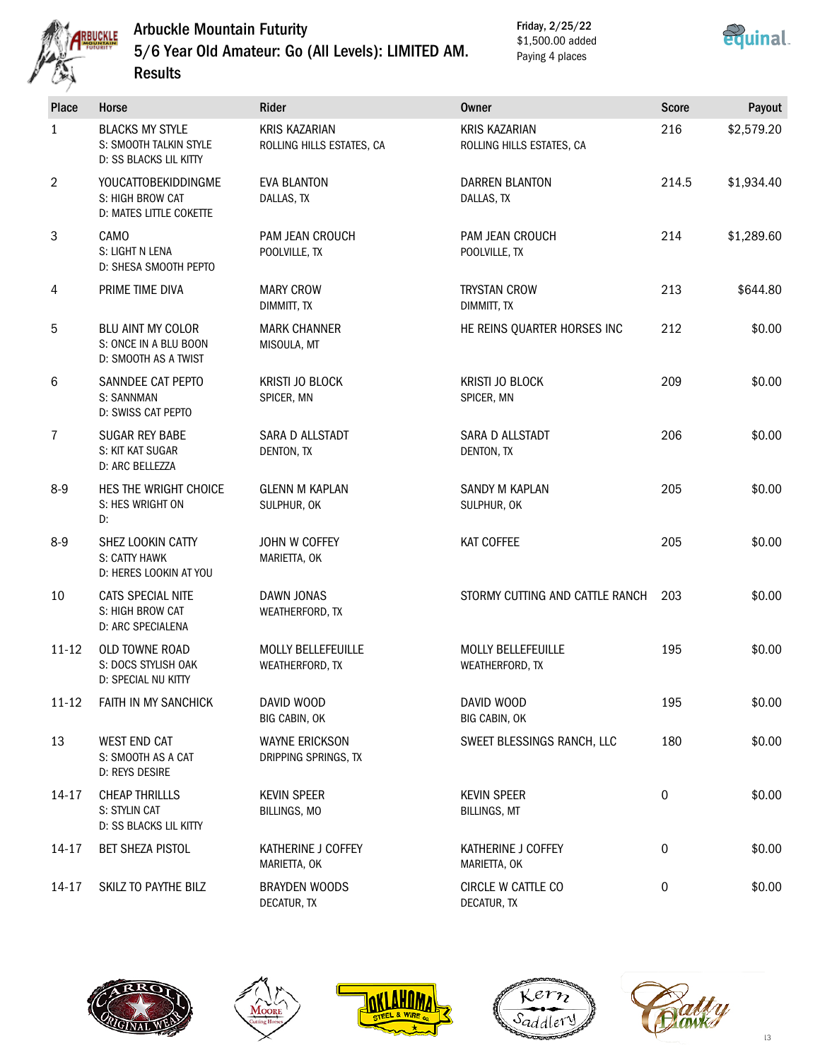

Results

# Arbuckle Mountain Futurity 5/6 Year Old Amateur: Go (All Levels): LIMITED AM.

Friday, 2/25/22 \$1,500.00 added Paying 4 places



| <b>Place</b>   | <b>Horse</b>                                                                      | Rider                                             | <b>Owner</b>                                      | <b>Score</b>     | Payout     |
|----------------|-----------------------------------------------------------------------------------|---------------------------------------------------|---------------------------------------------------|------------------|------------|
| $\mathbf{1}$   | <b>BLACKS MY STYLE</b><br>S: SMOOTH TALKIN STYLE<br><b>D: SS BLACKS LIL KITTY</b> | <b>KRIS KAZARIAN</b><br>ROLLING HILLS ESTATES, CA | <b>KRIS KAZARIAN</b><br>ROLLING HILLS ESTATES, CA | 216              | \$2,579.20 |
| 2              | YOUCATTOBEKIDDINGME<br>S: HIGH BROW CAT<br>D: MATES LITTLE COKETTE                | <b>EVA BLANTON</b><br>DALLAS, TX                  | <b>DARREN BLANTON</b><br>DALLAS, TX               | 214.5            | \$1,934.40 |
| 3              | CAMO<br>S: LIGHT N LENA<br>D: SHESA SMOOTH PEPTO                                  | PAM JEAN CROUCH<br>POOLVILLE, TX                  | PAM JEAN CROUCH<br>POOLVILLE, TX                  | 214              | \$1,289.60 |
| 4              | PRIME TIME DIVA                                                                   | <b>MARY CROW</b><br>DIMMITT, TX                   | <b>TRYSTAN CROW</b><br>DIMMITT, TX                | 213              | \$644.80   |
| 5              | <b>BLU AINT MY COLOR</b><br>S: ONCE IN A BLU BOON<br>D: SMOOTH AS A TWIST         | <b>MARK CHANNER</b><br>MISOULA, MT                | HE REINS QUARTER HORSES INC                       | 212              | \$0.00     |
| 6              | SANNDEE CAT PEPTO<br>S: SANNMAN<br>D: SWISS CAT PEPTO                             | KRISTI JO BLOCK<br>SPICER, MN                     | <b>KRISTI JO BLOCK</b><br>SPICER, MN              | 209              | \$0.00     |
| $\overline{7}$ | <b>SUGAR REY BABE</b><br>S: KIT KAT SUGAR<br>D: ARC BELLEZZA                      | SARA D ALLSTADT<br>DENTON, TX                     | SARA D ALLSTADT<br>DENTON, TX                     | 206              | \$0.00     |
| $8-9$          | HES THE WRIGHT CHOICE<br>S: HES WRIGHT ON<br>D:                                   | <b>GLENN M KAPLAN</b><br>SULPHUR, OK              | SANDY M KAPLAN<br>SULPHUR, OK                     | 205              | \$0.00     |
| $8-9$          | SHEZ LOOKIN CATTY<br>S: CATTY HAWK<br>D: HERES LOOKIN AT YOU                      | JOHN W COFFEY<br>MARIETTA, OK                     | KAT COFFEE                                        | 205              | \$0.00     |
| 10             | CATS SPECIAL NITE<br>S: HIGH BROW CAT<br><b>D: ARC SPECIALENA</b>                 | DAWN JONAS<br>WEATHERFORD, TX                     | STORMY CUTTING AND CATTLE RANCH                   | 203              | \$0.00     |
| $11 - 12$      | OLD TOWNE ROAD<br>S: DOCS STYLISH OAK<br>D: SPECIAL NU KITTY                      | <b>MOLLY BELLEFEUILLE</b><br>WEATHERFORD, TX      | MOLLY BELLEFEUILLE<br>WEATHERFORD, TX             | 195              | \$0.00     |
| $11 - 12$      | FAITH IN MY SANCHICK                                                              | DAVID WOOD<br>BIG CABIN, OK                       | DAVID WOOD<br>BIG CABIN, OK                       | 195              | \$0.00     |
| 13             | <b>WEST END CAT</b><br>S: SMOOTH AS A CAT<br>D: REYS DESIRE                       | <b>WAYNE ERICKSON</b><br>DRIPPING SPRINGS, TX     | SWEET BLESSINGS RANCH, LLC                        | 180              | \$0.00     |
| 14-17          | <b>CHEAP THRILLLS</b><br>S: STYLIN CAT<br>D: SS BLACKS LIL KITTY                  | <b>KEVIN SPEER</b><br>BILLINGS, MO                | <b>KEVIN SPEER</b><br><b>BILLINGS, MT</b>         | $\boldsymbol{0}$ | \$0.00     |
| 14-17          | <b>BET SHEZA PISTOL</b>                                                           | KATHERINE J COFFEY<br>MARIETTA, OK                | KATHERINE J COFFEY<br>MARIETTA, OK                | $\boldsymbol{0}$ | \$0.00     |
| $14 - 17$      | SKILZ TO PAYTHE BILZ                                                              | <b>BRAYDEN WOODS</b><br>DECATUR, TX               | CIRCLE W CATTLE CO<br>DECATUR, TX                 | $\boldsymbol{0}$ | \$0.00     |









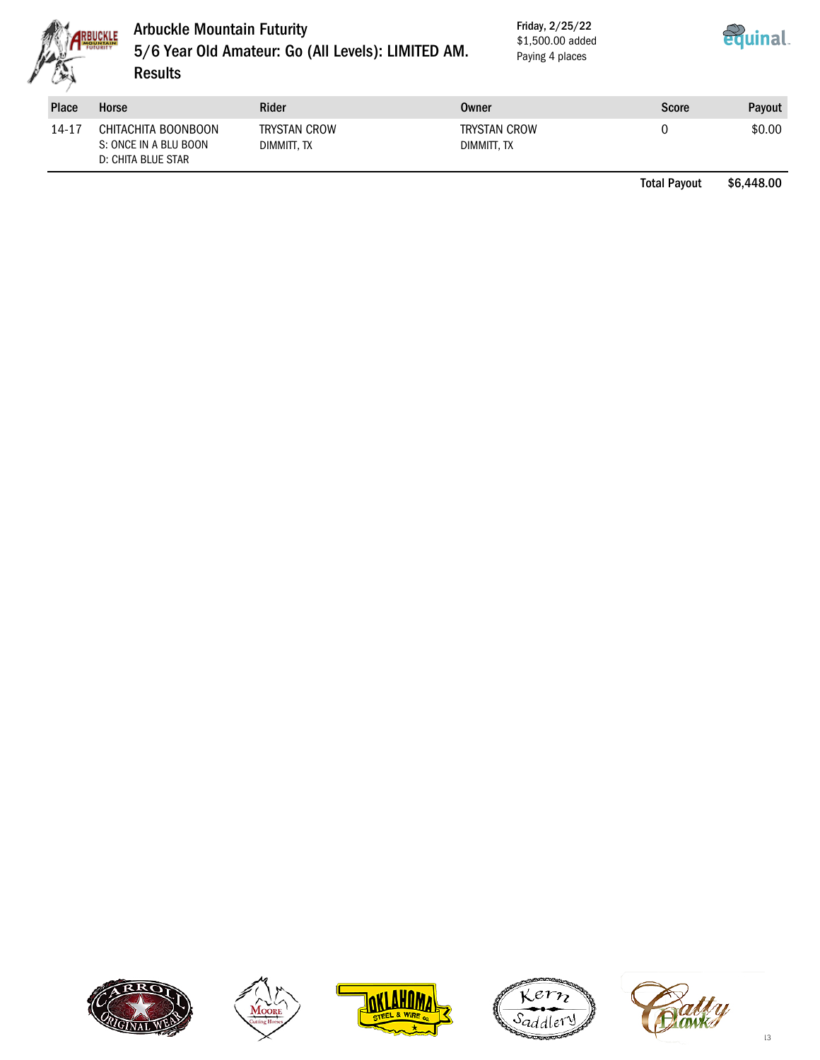

### Arbuckle Mountain Futurity 5/6 Year Old Amateur: Go (All Levels): LIMITED AM. **Results**

Friday, 2/25/22 \$1,500.00 added Paying 4 places



| <b>Place</b> | Horse                                                              | Rider                              | Owner                              | <b>Score</b> | <b>Pavout</b> |
|--------------|--------------------------------------------------------------------|------------------------------------|------------------------------------|--------------|---------------|
| 14-17        | CHITACHITA BOONBOON<br>S: ONCE IN A BLU BOON<br>D: CHITA BLUE STAR | <b>TRYSTAN CROW</b><br>DIMMITT. TX | <b>TRYSTAN CROW</b><br>DIMMITT. TX |              | \$0.00        |

Total Payout \$6,448.00









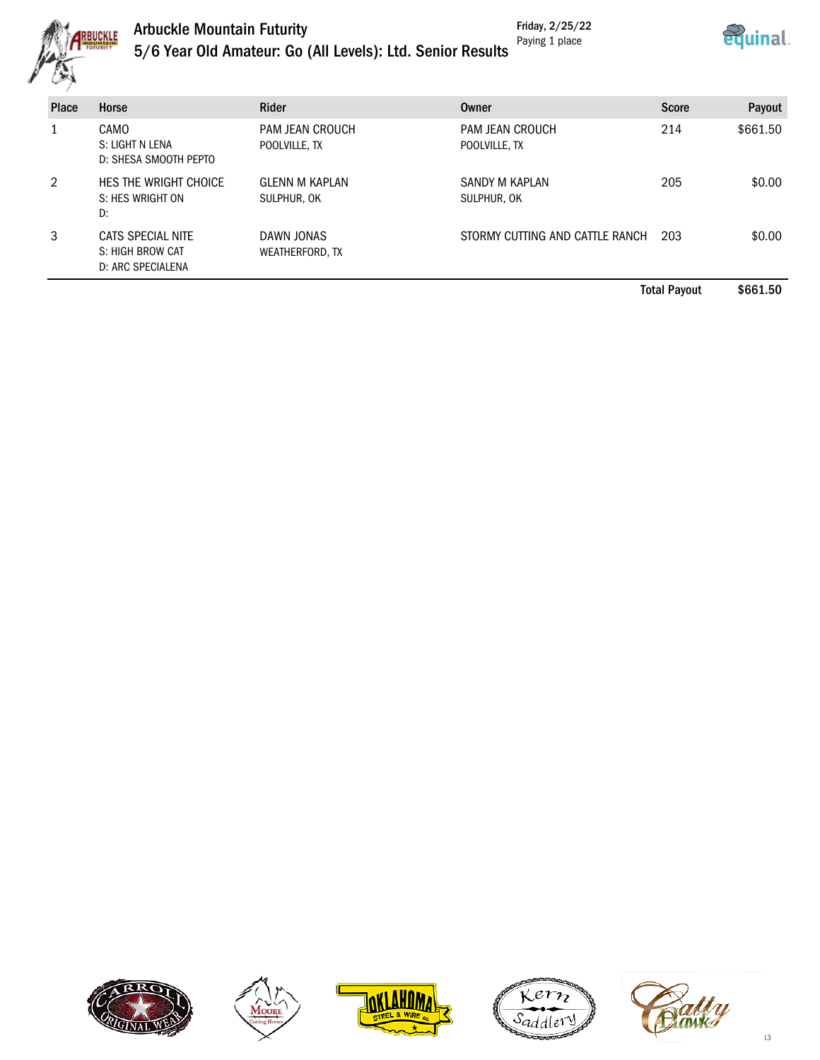

#### Arbuckle Mountain Futurity Friday, 2/25/22 Paying 1 place



|  | 5/6 Year Old Amateur: Go (All Levels): Ltd. Senior Results |  |
|--|------------------------------------------------------------|--|
|--|------------------------------------------------------------|--|

| <b>Place</b> | Horse                                                      | Rider                                | Owner                            | <b>Score</b> | Payout   |
|--------------|------------------------------------------------------------|--------------------------------------|----------------------------------|--------------|----------|
|              | CAMO<br>S: LIGHT N LENA<br>D: SHESA SMOOTH PEPTO           | PAM JEAN CROUCH<br>POOLVILLE, TX     | PAM JEAN CROUCH<br>POOLVILLE, TX | 214          | \$661.50 |
| 2            | HES THE WRIGHT CHOICE<br>S: HES WRIGHT ON<br>D:            | <b>GLENN M KAPLAN</b><br>SULPHUR, OK | SANDY M KAPLAN<br>SULPHUR, OK    | 205          | \$0.00   |
| 3            | CATS SPECIAL NITE<br>S: HIGH BROW CAT<br>D: ARC SPECIALENA | DAWN JONAS<br>WEATHERFORD, TX        | STORMY CUTTING AND CATTLE RANCH  | 203          | \$0.00   |

Total Payout \$661.50